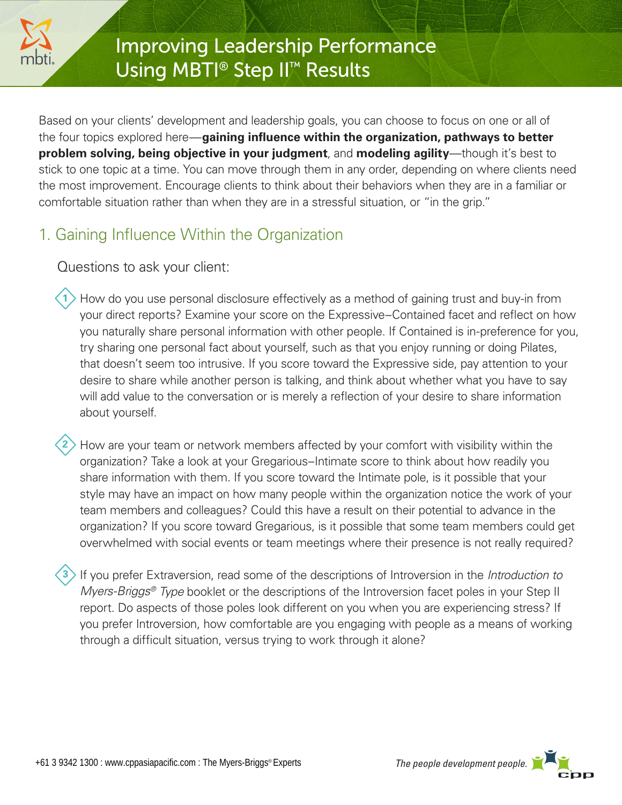

# Improving Leadership Performance Using MBTI<sup>®</sup> Step II<sup>™</sup> Results

Based on your clients' development and leadership goals, you can choose to focus on one or all of the four topics explored here—**gaining influence within the organization, pathways to better problem solving, being objective in your judgment**, and **modeling agility**—though it's best to stick to one topic at a time. You can move through them in any order, depending on where clients need the most improvement. Encourage clients to think about their behaviors when they are in a familiar or comfortable situation rather than when they are in a stressful situation, or "in the grip."

## 1. Gaining Influence Within the Organization

Questions to ask your client:

- 1) How do you use personal disclosure effectively as a method of gaining trust and buy-in from your direct reports? Examine your score on the Expressive–Contained facet and reflect on how you naturally share personal information with other people. If Contained is in-preference for you, try sharing one personal fact about yourself, such as that you enjoy running or doing Pilates, that doesn't seem too intrusive. If you score toward the Expressive side, pay attention to your desire to share while another person is talking, and think about whether what you have to say will add value to the conversation or is merely a reflection of your desire to share information about yourself.
- How are your team or network members affected by your comfort with visibility within the organization? Take a look at your Gregarious–Intimate score to think about how readily you share information with them. If you score toward the Intimate pole, is it possible that your style may have an impact on how many people within the organization notice the work of your team members and colleagues? Could this have a result on their potential to advance in the organization? If you score toward Gregarious, is it possible that some team members could get overwhelmed with social events or team meetings where their presence is not really required? **2**
- If you prefer Extraversion, read some of the descriptions of Introversion in the *Introduction to Myers-Briggs<sup>®</sup> Type* booklet or the descriptions of the Introversion facet poles in your Step II report. Do aspects of those poles look different on you when you are experiencing stress? If you prefer Introversion, how comfortable are you engaging with people as a means of working through a difficult situation, versus trying to work through it alone? **3**

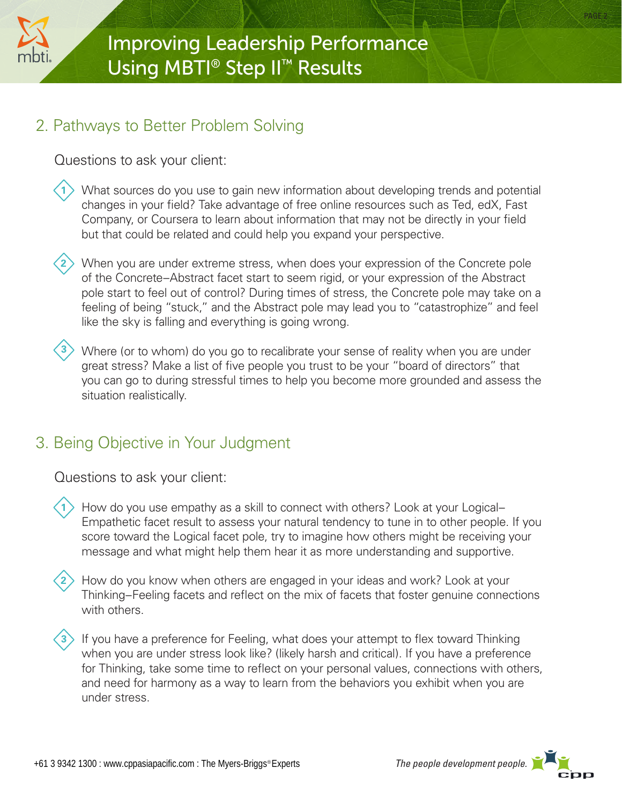

**3**

#### 2. Pathways to Better Problem Solving

Questions to ask your client:

- What sources do you use to gain new information about developing trends and potential changes in your field? Take advantage of free online resources such as Ted, edX, Fast Company, or Coursera to learn about information that may not be directly in your field but that could be related and could help you expand your perspective. **1**
- 2) When you are under extreme stress, when does your expression of the Concrete pole of the Concrete–Abstract facet start to seem rigid, or your expression of the Abstract pole start to feel out of control? During times of stress, the Concrete pole may take on a feeling of being "stuck," and the Abstract pole may lead you to "catastrophize" and feel like the sky is falling and everything is going wrong.
	- Where (or to whom) do you go to recalibrate your sense of reality when you are under great stress? Make a list of five people you trust to be your "board of directors" that you can go to during stressful times to help you become more grounded and assess the situation realistically.

### 3. Being Objective in Your Judgment

Questions to ask your client:

- 1> How do you use empathy as a skill to connect with others? Look at your Logical– Empathetic facet result to assess your natural tendency to tune in to other people. If you score toward the Logical facet pole, try to imagine how others might be receiving your message and what might help them hear it as more understanding and supportive.
- How do you know when others are engaged in your ideas and work? Look at your Thinking–Feeling facets and reflect on the mix of facets that foster genuine connections with others. **2**
- **3** If you have a preference for Feeling, what does your attempt to flex toward Thinking when you are under stress look like? (likely harsh and critical). If you have a preference for Thinking, take some time to reflect on your personal values, connections with others, and need for harmony as a way to learn from the behaviors you exhibit when you are under stress.

PAGE 2